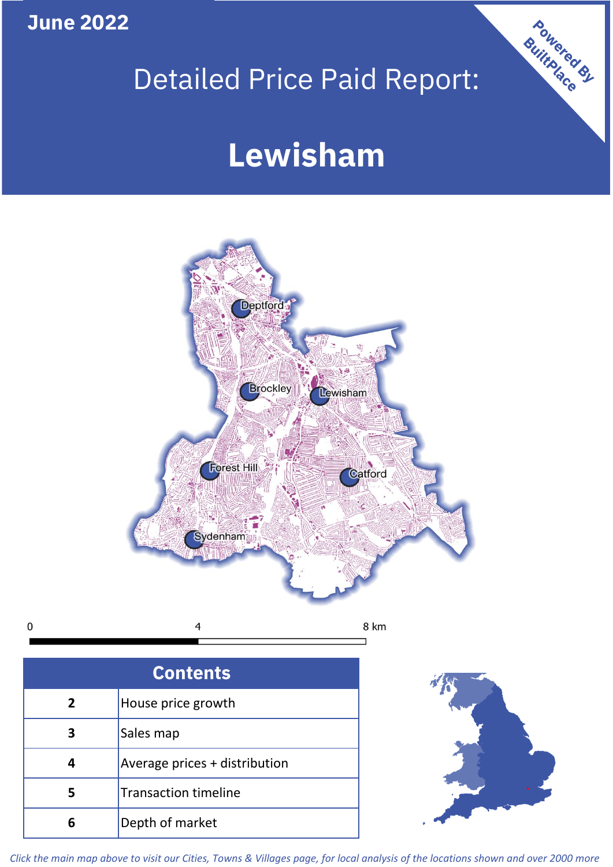**June 2022**

 $\mathbf 0$ 

## Detailed Price Paid Report:

# **Lewisham**



| <b>Contents</b> |                               |  |  |
|-----------------|-------------------------------|--|--|
| $\mathbf{2}$    | House price growth            |  |  |
| 3               | Sales map                     |  |  |
|                 | Average prices + distribution |  |  |
| 5               | <b>Transaction timeline</b>   |  |  |
|                 | Depth of market               |  |  |



Powered By

*Click the main map above to visit our Cities, Towns & Villages page, for local analysis of the locations shown and over 2000 more*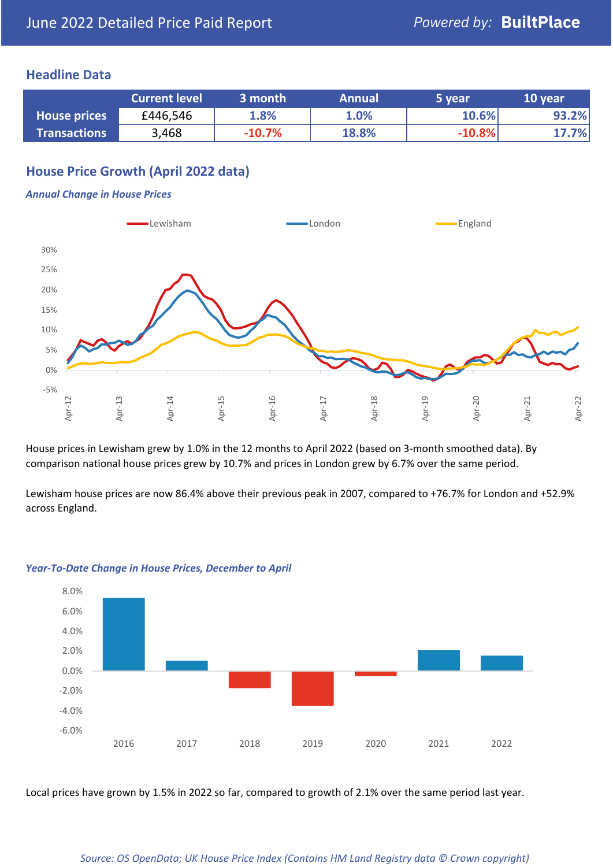### **Headline Data**

|                     | <b>Current level</b> | 3 month  | <b>Annual</b> | 5 year   | 10 year |
|---------------------|----------------------|----------|---------------|----------|---------|
| <b>House prices</b> | £446,546             | 1.8%     | 1.0%          | 10.6%    | 93.2%   |
| <b>Transactions</b> | 3,468                | $-10.7%$ | 18.8%         | $-10.8%$ | 17.7%   |

## **House Price Growth (April 2022 data)**

#### *Annual Change in House Prices*



House prices in Lewisham grew by 1.0% in the 12 months to April 2022 (based on 3-month smoothed data). By comparison national house prices grew by 10.7% and prices in London grew by 6.7% over the same period.

Lewisham house prices are now 86.4% above their previous peak in 2007, compared to +76.7% for London and +52.9% across England.



#### *Year-To-Date Change in House Prices, December to April*

Local prices have grown by 1.5% in 2022 so far, compared to growth of 2.1% over the same period last year.

#### *Source: OS OpenData; UK House Price Index (Contains HM Land Registry data © Crown copyright)*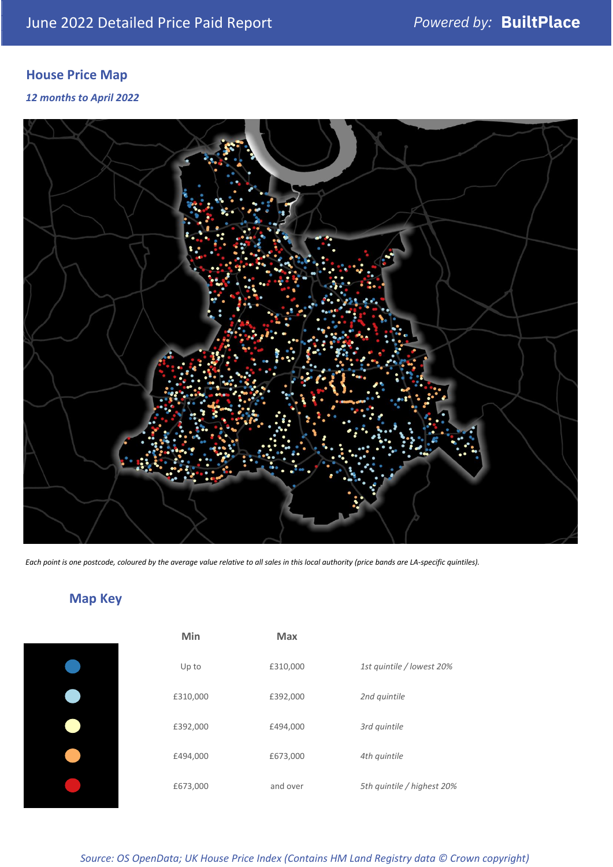## **House Price Map**

*12 months to April 2022*



*Each point is one postcode, coloured by the average value relative to all sales in this local authority (price bands are LA-specific quintiles).*

## **Map Key**

| Min      | <b>Max</b> |                            |
|----------|------------|----------------------------|
| Up to    | £310,000   | 1st quintile / lowest 20%  |
| £310,000 | £392,000   | 2nd quintile               |
| £392,000 | £494,000   | 3rd quintile               |
| £494,000 | £673,000   | 4th quintile               |
| £673,000 | and over   | 5th quintile / highest 20% |
|          |            |                            |

| Min      | <b>Max</b> |                           |
|----------|------------|---------------------------|
| Up to    | £310,000   | 1st quintile / lowest 20% |
| £310,000 | £392,000   | 2nd quintile              |
| £392,000 | £494,000   | 3rd quintile              |
| £494,000 | £673,000   | 4th quintile              |
| £673,000 | and over   | 5th quintile / highest 20 |

*Source: OS OpenData; UK House Price Index (Contains HM Land Registry data © Crown copyright)*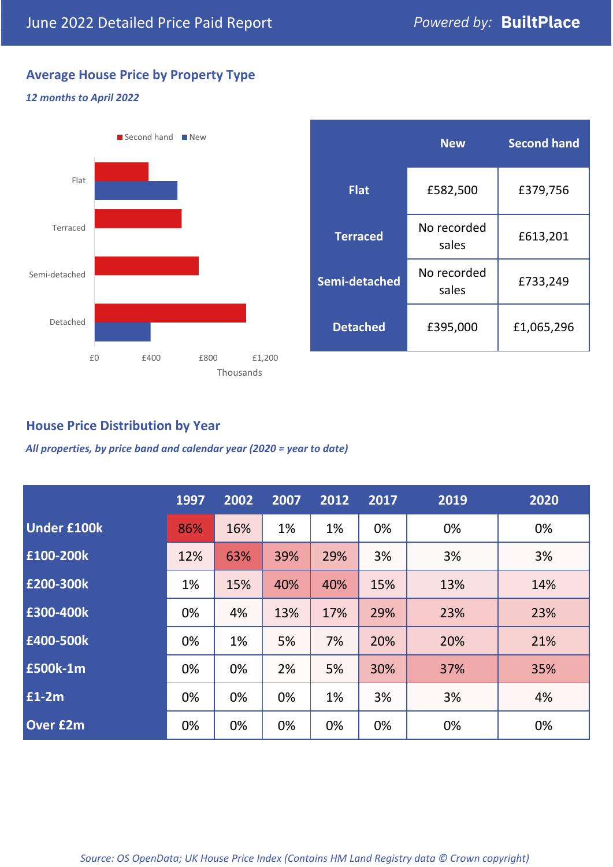## **Average House Price by Property Type**

### *12 months to April 2022*



|                 | <b>New</b>           | <b>Second hand</b> |  |  |
|-----------------|----------------------|--------------------|--|--|
| <b>Flat</b>     | £582,500             | £379,756           |  |  |
| <b>Terraced</b> | No recorded<br>sales | £613,201           |  |  |
| Semi-detached   | No recorded<br>sales | £733,249           |  |  |
| <b>Detached</b> | £395,000             | £1,065,296         |  |  |

## **House Price Distribution by Year**

*All properties, by price band and calendar year (2020 = year to date)*

|                    | 1997 | 2002 | 2007 | 2012 | 2017 | 2019 | 2020 |
|--------------------|------|------|------|------|------|------|------|
| <b>Under £100k</b> | 86%  | 16%  | 1%   | 1%   | 0%   | 0%   | 0%   |
| £100-200k          | 12%  | 63%  | 39%  | 29%  | 3%   | 3%   | 3%   |
| E200-300k          | 1%   | 15%  | 40%  | 40%  | 15%  | 13%  | 14%  |
| £300-400k          | 0%   | 4%   | 13%  | 17%  | 29%  | 23%  | 23%  |
| £400-500k          | 0%   | 1%   | 5%   | 7%   | 20%  | 20%  | 21%  |
| <b>£500k-1m</b>    | 0%   | 0%   | 2%   | 5%   | 30%  | 37%  | 35%  |
| £1-2m              | 0%   | 0%   | 0%   | 1%   | 3%   | 3%   | 4%   |
| <b>Over £2m</b>    | 0%   | 0%   | 0%   | 0%   | 0%   | 0%   | 0%   |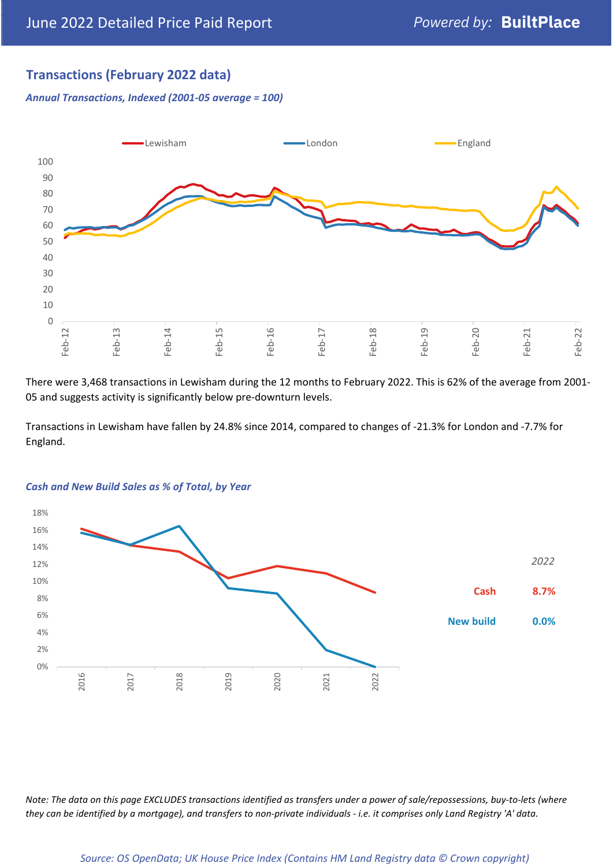## **Transactions (February 2022 data)**

*Annual Transactions, Indexed (2001-05 average = 100)*



There were 3,468 transactions in Lewisham during the 12 months to February 2022. This is 62% of the average from 2001- 05 and suggests activity is significantly below pre-downturn levels.

Transactions in Lewisham have fallen by 24.8% since 2014, compared to changes of -21.3% for London and -7.7% for England.



#### *Cash and New Build Sales as % of Total, by Year*

*Note: The data on this page EXCLUDES transactions identified as transfers under a power of sale/repossessions, buy-to-lets (where they can be identified by a mortgage), and transfers to non-private individuals - i.e. it comprises only Land Registry 'A' data.*